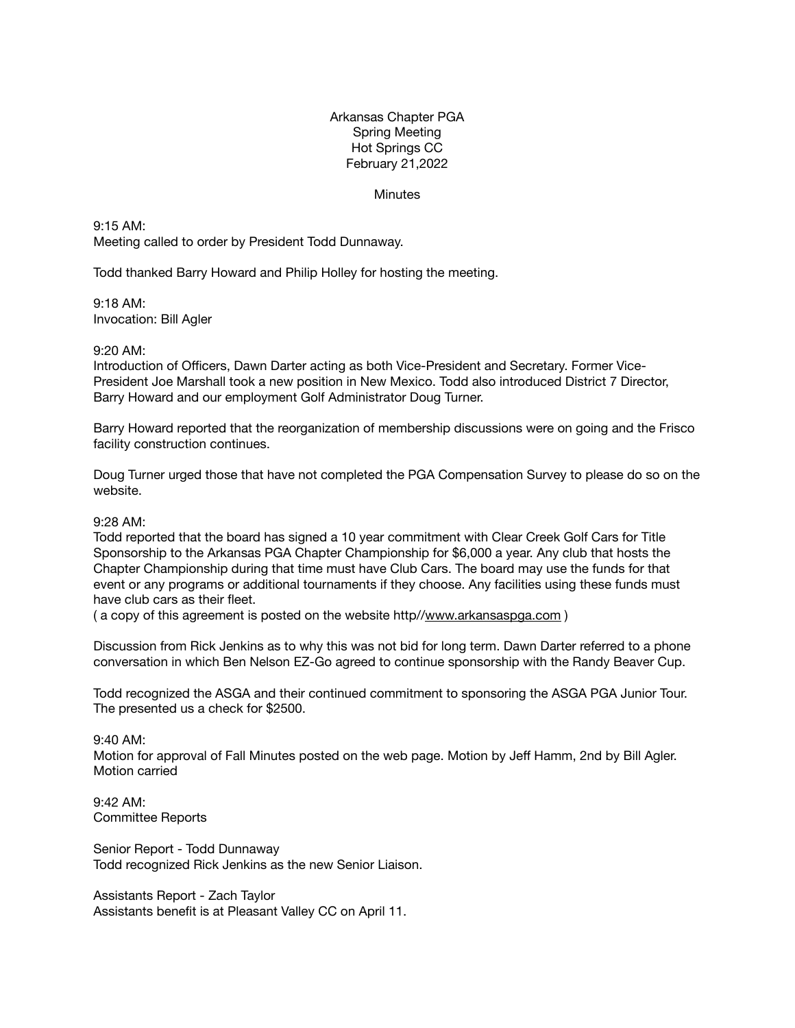## Arkansas Chapter PGA Spring Meeting Hot Springs CC February 21,2022

## **Minutes**

9:15 AM: Meeting called to order by President Todd Dunnaway.

Todd thanked Barry Howard and Philip Holley for hosting the meeting.

9:18 AM: Invocation: Bill Agler

## 9:20 AM:

Introduction of Officers, Dawn Darter acting as both Vice-President and Secretary. Former Vice-President Joe Marshall took a new position in New Mexico. Todd also introduced District 7 Director, Barry Howard and our employment Golf Administrator Doug Turner.

Barry Howard reported that the reorganization of membership discussions were on going and the Frisco facility construction continues.

Doug Turner urged those that have not completed the PGA Compensation Survey to please do so on the website.

## 9:28 AM:

Todd reported that the board has signed a 10 year commitment with Clear Creek Golf Cars for Title Sponsorship to the Arkansas PGA Chapter Championship for \$6,000 a year. Any club that hosts the Chapter Championship during that time must have Club Cars. The board may use the funds for that event or any programs or additional tournaments if they choose. Any facilities using these funds must have club cars as their fleet.

( a copy of this agreement is posted on the website http//[www.arkansaspga.com](http://www.arkansaspga.com) )

Discussion from Rick Jenkins as to why this was not bid for long term. Dawn Darter referred to a phone conversation in which Ben Nelson EZ-Go agreed to continue sponsorship with the Randy Beaver Cup.

Todd recognized the ASGA and their continued commitment to sponsoring the ASGA PGA Junior Tour. The presented us a check for \$2500.

9:40 AM:

Motion for approval of Fall Minutes posted on the web page. Motion by Jeff Hamm, 2nd by Bill Agler. Motion carried

9:42 AM: Committee Reports

Senior Report - Todd Dunnaway Todd recognized Rick Jenkins as the new Senior Liaison.

Assistants Report - Zach Taylor Assistants benefit is at Pleasant Valley CC on April 11.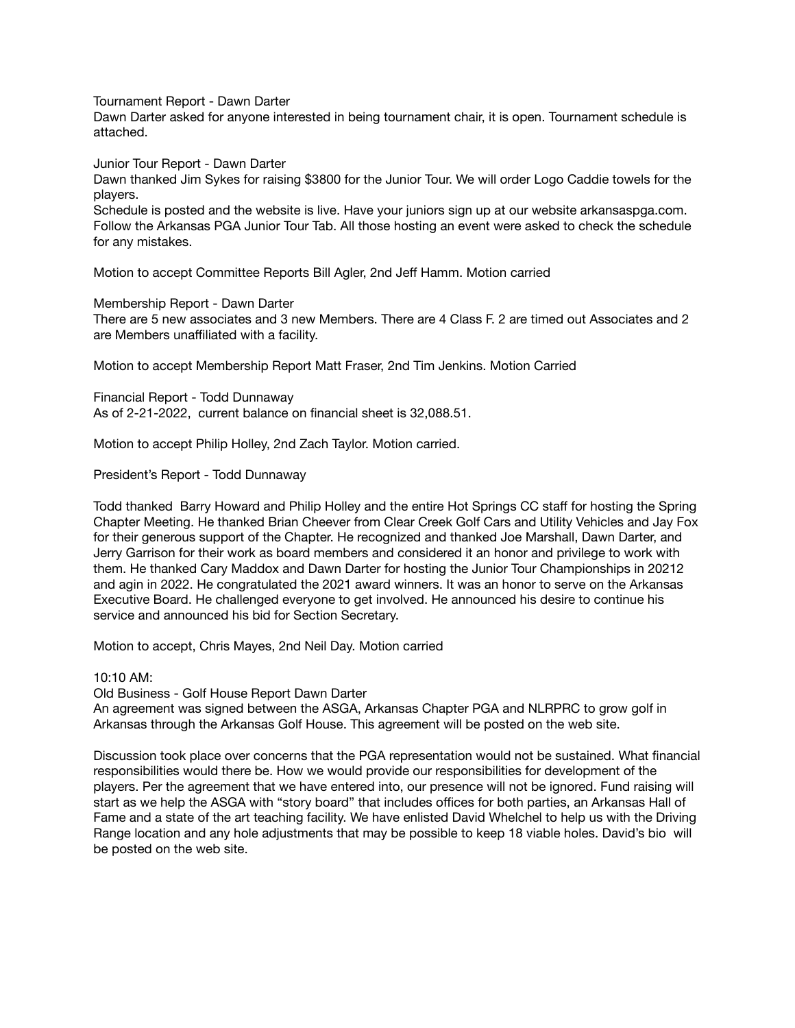Tournament Report - Dawn Darter

Dawn Darter asked for anyone interested in being tournament chair, it is open. Tournament schedule is attached.

Junior Tour Report - Dawn Darter

Dawn thanked Jim Sykes for raising \$3800 for the Junior Tour. We will order Logo Caddie towels for the players.

Schedule is posted and the website is live. Have your juniors sign up at our website arkansaspga.com. Follow the Arkansas PGA Junior Tour Tab. All those hosting an event were asked to check the schedule for any mistakes.

Motion to accept Committee Reports Bill Agler, 2nd Jeff Hamm. Motion carried

Membership Report - Dawn Darter

There are 5 new associates and 3 new Members. There are 4 Class F. 2 are timed out Associates and 2 are Members unaffiliated with a facility.

Motion to accept Membership Report Matt Fraser, 2nd Tim Jenkins. Motion Carried

Financial Report - Todd Dunnaway As of 2-21-2022, current balance on financial sheet is 32,088.51.

Motion to accept Philip Holley, 2nd Zach Taylor. Motion carried.

President's Report - Todd Dunnaway

Todd thanked Barry Howard and Philip Holley and the entire Hot Springs CC staff for hosting the Spring Chapter Meeting. He thanked Brian Cheever from Clear Creek Golf Cars and Utility Vehicles and Jay Fox for their generous support of the Chapter. He recognized and thanked Joe Marshall, Dawn Darter, and Jerry Garrison for their work as board members and considered it an honor and privilege to work with them. He thanked Cary Maddox and Dawn Darter for hosting the Junior Tour Championships in 20212 and agin in 2022. He congratulated the 2021 award winners. It was an honor to serve on the Arkansas Executive Board. He challenged everyone to get involved. He announced his desire to continue his service and announced his bid for Section Secretary.

Motion to accept, Chris Mayes, 2nd Neil Day. Motion carried

10:10 AM:

Old Business - Golf House Report Dawn Darter

An agreement was signed between the ASGA, Arkansas Chapter PGA and NLRPRC to grow golf in Arkansas through the Arkansas Golf House. This agreement will be posted on the web site.

Discussion took place over concerns that the PGA representation would not be sustained. What financial responsibilities would there be. How we would provide our responsibilities for development of the players. Per the agreement that we have entered into, our presence will not be ignored. Fund raising will start as we help the ASGA with "story board" that includes offices for both parties, an Arkansas Hall of Fame and a state of the art teaching facility. We have enlisted David Whelchel to help us with the Driving Range location and any hole adjustments that may be possible to keep 18 viable holes. David's bio will be posted on the web site.